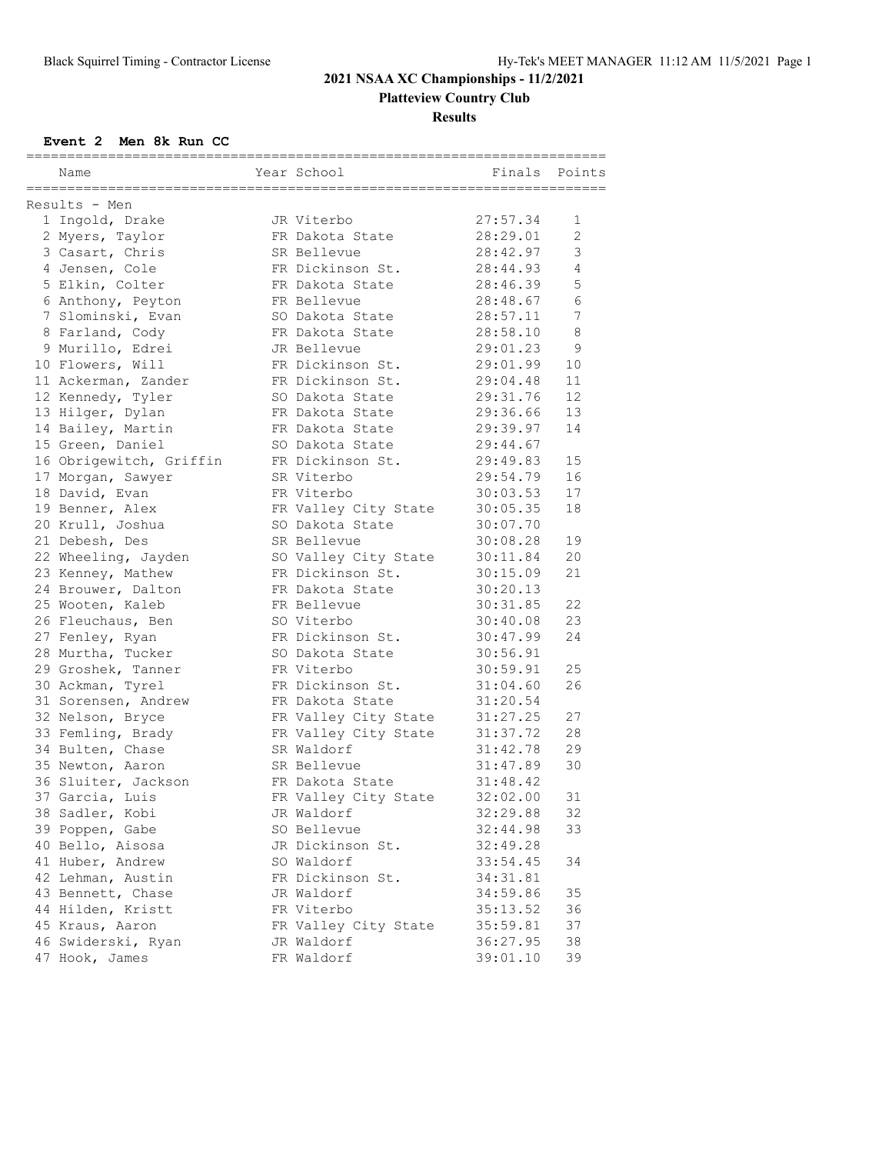# **2021 NSAA XC Championships - 11/2/2021 Platteview Country Club**

**Results**

### **Event 2 Men 8k Run CC**

| ===========<br>------------- | ====================================== |          |                |
|------------------------------|----------------------------------------|----------|----------------|
| Name                         | Year School                            | Finals   | Points         |
|                              |                                        |          |                |
| Results - Men                |                                        |          |                |
| 1 Ingold, Drake              | JR Viterbo                             | 27:57.34 | 1              |
| 2 Myers, Taylor              | FR Dakota State                        | 28:29.01 | $\overline{2}$ |
| 3 Casart, Chris              | SR Bellevue                            | 28:42.97 | 3              |
| 4 Jensen, Cole               | FR Dickinson St.                       | 28:44.93 | $\overline{4}$ |
| 5 Elkin, Colter              | FR Dakota State                        | 28:46.39 | 5              |
| 6 Anthony, Peyton            | FR Bellevue                            | 28:48.67 | 6              |
| 7 Slominski, Evan            | SO Dakota State                        | 28:57.11 | 7              |
| 8 Farland, Cody              | FR Dakota State                        | 28:58.10 | 8              |
| 9 Murillo, Edrei             | JR Bellevue                            | 29:01.23 | 9              |
| 10 Flowers, Will             | FR Dickinson St.                       | 29:01.99 | 10             |
| 11 Ackerman, Zander          | FR Dickinson St.                       | 29:04.48 | 11             |
| 12 Kennedy, Tyler            | SO Dakota State                        | 29:31.76 | 12             |
| 13 Hilger, Dylan             | FR Dakota State                        | 29:36.66 | 13             |
| 14 Bailey, Martin            | FR Dakota State                        | 29:39.97 | 14             |
| 15 Green, Daniel             | SO Dakota State                        | 29:44.67 |                |
| 16 Obrigewitch, Griffin      | FR Dickinson St.                       | 29:49.83 | 15             |
| 17 Morgan, Sawyer            | SR Viterbo                             | 29:54.79 | 16             |
| 18 David, Evan               | FR Viterbo                             | 30:03.53 | 17             |
| 19 Benner, Alex              | FR Valley City State                   | 30:05.35 | 18             |
| 20 Krull, Joshua             | SO Dakota State                        | 30:07.70 |                |
| 21 Debesh, Des               | SR Bellevue                            | 30:08.28 | 19             |
| 22 Wheeling, Jayden          | SO Valley City State                   | 30:11.84 | 20             |
| 23 Kenney, Mathew            | FR Dickinson St.                       | 30:15.09 | 21             |
| 24 Brouwer, Dalton           | FR Dakota State                        | 30:20.13 |                |
| 25 Wooten, Kaleb             | FR Bellevue                            | 30:31.85 | 22             |
| 26 Fleuchaus, Ben            | SO Viterbo                             | 30:40.08 | 23             |
| 27 Fenley, Ryan              | FR Dickinson St.                       | 30:47.99 | 24             |
| 28 Murtha, Tucker            | SO Dakota State                        | 30:56.91 |                |
| 29 Groshek, Tanner           | FR Viterbo                             | 30:59.91 | 25             |
| 30 Ackman, Tyrel             | FR Dickinson St.                       | 31:04.60 | 26             |
| 31 Sorensen, Andrew          | FR Dakota State                        | 31:20.54 |                |
| 32 Nelson, Bryce             | FR Valley City State                   | 31:27.25 | 27             |
| 33 Femling, Brady            | FR Valley City State                   | 31:37.72 | 28             |
| 34 Bulten, Chase             | SR Waldorf                             | 31:42.78 | 29             |
| 35 Newton, Aaron             | SR Bellevue                            | 31:47.89 | 30             |
| 36 Sluiter, Jackson          | FR Dakota State                        | 31:48.42 |                |
| 37 Garcia, Luis              | FR Valley City State                   | 32:02.00 | 31             |
| 38 Sadler, Kobi              | JR Waldorf                             | 32:29.88 | 32             |
| 39 Poppen, Gabe              | SO Bellevue                            | 32:44.98 | 33             |
| 40 Bello, Aisosa             | JR Dickinson St.                       | 32:49.28 |                |
| 41 Huber, Andrew             | SO Waldorf                             | 33:54.45 | 34             |
| 42 Lehman, Austin            | FR Dickinson St.                       | 34:31.81 |                |
| 43 Bennett, Chase            | JR Waldorf                             | 34:59.86 | 35             |
| 44 Hilden, Kristt            | FR Viterbo                             | 35:13.52 | 36             |
| 45 Kraus, Aaron              | FR Valley City State                   | 35:59.81 | 37             |
| 46 Swiderski, Ryan           | JR Waldorf                             | 36:27.95 | 38             |
| 47 Hook, James               | FR Waldorf                             | 39:01.10 | 39             |
|                              |                                        |          |                |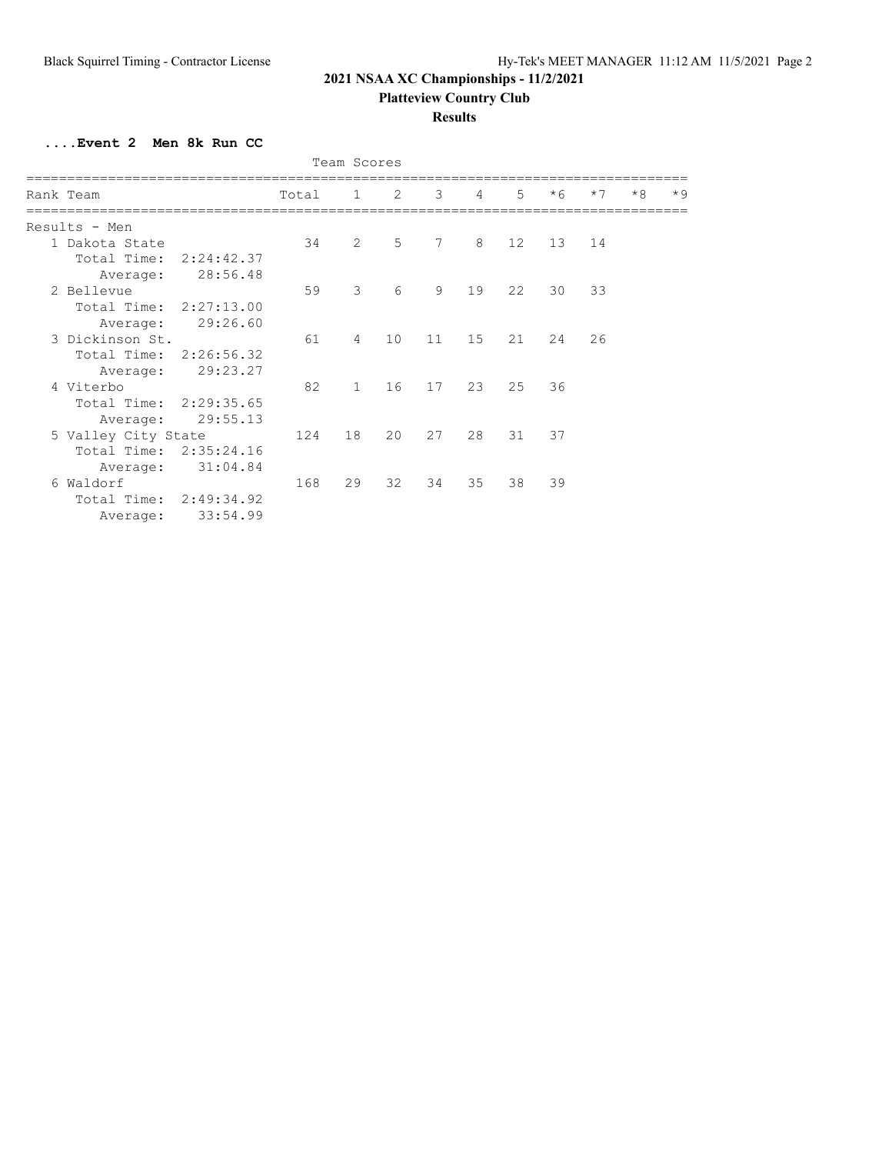# **2021 NSAA XC Championships - 11/2/2021**

**Platteview Country Club**

### **Results**

**....Event 2 Men 8k Run CC**

| Team Scores               |       |                |    |    |    |    |      |      |      |      |
|---------------------------|-------|----------------|----|----|----|----|------|------|------|------|
| Rank Team                 | Total | $\mathbf{1}$   | 2  | 3  | 4  | 5  | $*6$ | $*7$ | $*8$ | $*9$ |
| Results - Men             |       |                |    |    |    |    |      |      |      |      |
| 1 Dakota State            | 34    | $\overline{2}$ | 5  | 7  | 8  | 12 | 13   | 14   |      |      |
| Total Time:<br>2:24:42.37 |       |                |    |    |    |    |      |      |      |      |
| 28:56.48<br>Average:      |       |                |    |    |    |    |      |      |      |      |
| 2 Bellevue                | 59    | 3              | 6  | 9  | 19 | 22 | 30   | 33   |      |      |
| Total Time: 2:27:13.00    |       |                |    |    |    |    |      |      |      |      |
| 29:26.60<br>Average:      |       |                |    |    |    |    |      |      |      |      |
| 3 Dickinson St.           | 61    | $\overline{4}$ | 10 | 11 | 15 | 21 | 24   | 26   |      |      |
| Total Time: 2:26:56.32    |       |                |    |    |    |    |      |      |      |      |
| 29:23.27<br>Average:      |       |                |    |    |    |    |      |      |      |      |
| 4 Viterbo                 | 82    | $\mathbf{1}$   | 16 | 17 | 23 | 25 | 36   |      |      |      |
| Total Time: 2:29:35.65    |       |                |    |    |    |    |      |      |      |      |
| 29:55.13<br>Average:      |       |                |    |    |    |    |      |      |      |      |
| 5 Valley City State       | 124   | 18             | 20 | 27 | 28 | 31 | 37   |      |      |      |
| 2:35:24.16<br>Total Time: |       |                |    |    |    |    |      |      |      |      |
| 31:04.84<br>Average:      |       |                |    |    |    |    |      |      |      |      |
| Waldorf<br>6              | 168   | 29             | 32 | 34 | 35 | 38 | 39   |      |      |      |
| Total Time: 2:49:34.92    |       |                |    |    |    |    |      |      |      |      |
| 33:54.99<br>Average:      |       |                |    |    |    |    |      |      |      |      |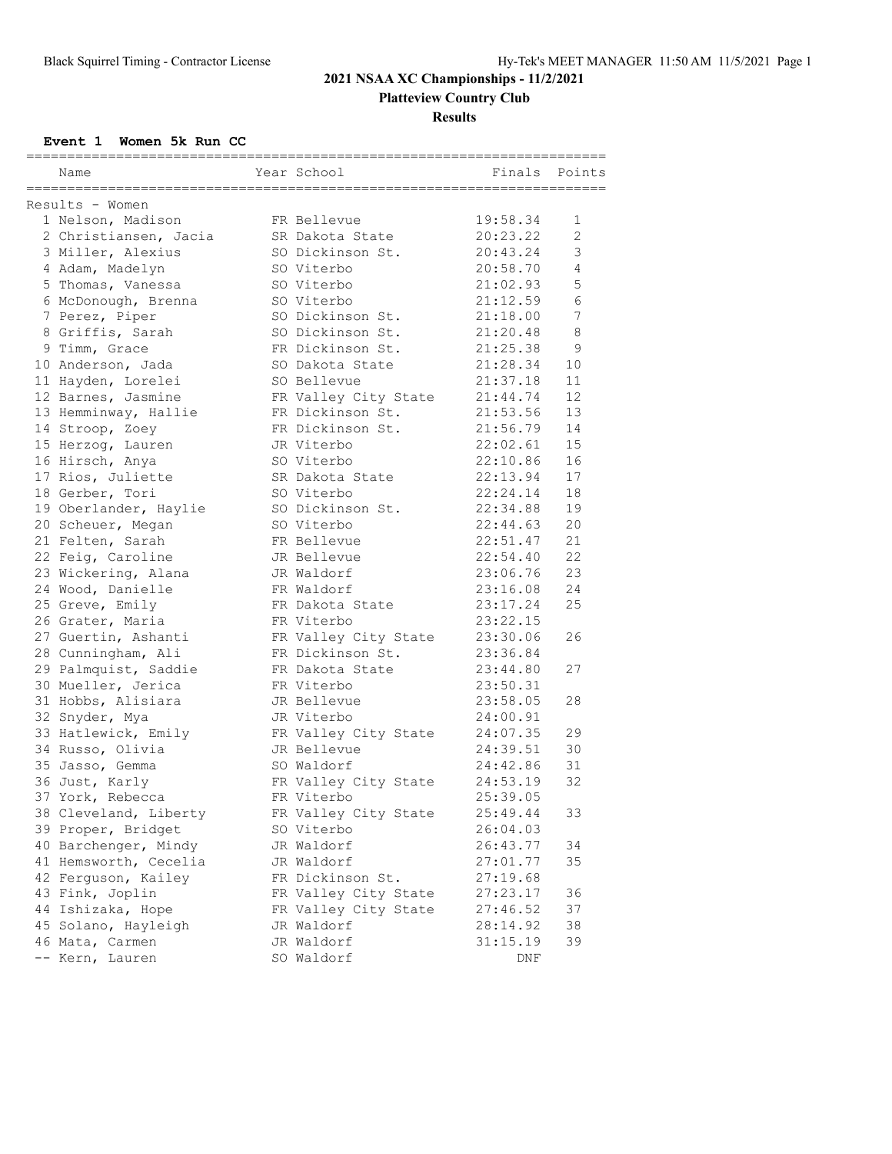# **2021 NSAA XC Championships - 11/2/2021 Platteview Country Club**

### **Results**

**Event 1 Women 5k Run CC**

| ========================= |                       |  |                      |          |                       |  |  |  |  |
|---------------------------|-----------------------|--|----------------------|----------|-----------------------|--|--|--|--|
|                           | Name                  |  | Year School          | Finals   | Points                |  |  |  |  |
|                           | ===================== |  |                      |          |                       |  |  |  |  |
|                           | Results - Women       |  |                      |          |                       |  |  |  |  |
|                           | 1 Nelson, Madison     |  | FR Bellevue          | 19:58.34 | 1                     |  |  |  |  |
|                           | 2 Christiansen, Jacia |  | SR Dakota State      | 20:23.22 | $\mathbf{2}^{\prime}$ |  |  |  |  |
|                           | 3 Miller, Alexius     |  | SO Dickinson St.     | 20:43.24 | 3                     |  |  |  |  |
|                           | 4 Adam, Madelyn       |  | SO Viterbo           | 20:58.70 | 4                     |  |  |  |  |
|                           | 5 Thomas, Vanessa     |  | SO Viterbo           | 21:02.93 | 5                     |  |  |  |  |
|                           | 6 McDonough, Brenna   |  | SO Viterbo           | 21:12.59 | 6                     |  |  |  |  |
|                           | 7 Perez, Piper        |  | SO Dickinson St.     | 21:18.00 | 7                     |  |  |  |  |
|                           | 8 Griffis, Sarah      |  | SO Dickinson St.     | 21:20.48 | 8                     |  |  |  |  |
|                           | 9 Timm, Grace         |  | FR Dickinson St.     | 21:25.38 | 9                     |  |  |  |  |
|                           | 10 Anderson, Jada     |  | SO Dakota State      | 21:28.34 | 10                    |  |  |  |  |
|                           | 11 Hayden, Lorelei    |  | SO Bellevue          | 21:37.18 | 11                    |  |  |  |  |
|                           | 12 Barnes, Jasmine    |  | FR Valley City State | 21:44.74 | 12                    |  |  |  |  |
|                           | 13 Hemminway, Hallie  |  | FR Dickinson St.     | 21:53.56 | 13                    |  |  |  |  |
|                           | 14 Stroop, Zoey       |  | FR Dickinson St.     | 21:56.79 | 14                    |  |  |  |  |
|                           | 15 Herzog, Lauren     |  | JR Viterbo           | 22:02.61 | 15                    |  |  |  |  |
|                           | 16 Hirsch, Anya       |  | SO Viterbo           | 22:10.86 | 16                    |  |  |  |  |
|                           | 17 Rios, Juliette     |  | SR Dakota State      | 22:13.94 | 17                    |  |  |  |  |
|                           | 18 Gerber, Tori       |  | SO Viterbo           | 22:24.14 | 18                    |  |  |  |  |
|                           | 19 Oberlander, Haylie |  | SO Dickinson St.     | 22:34.88 | 19                    |  |  |  |  |
|                           | 20 Scheuer, Megan     |  | SO Viterbo           | 22:44.63 | 20                    |  |  |  |  |
|                           | 21 Felten, Sarah      |  | FR Bellevue          | 22:51.47 | 21                    |  |  |  |  |
|                           | 22 Feig, Caroline     |  | JR Bellevue          | 22:54.40 | 22                    |  |  |  |  |
|                           | 23 Wickering, Alana   |  | JR Waldorf           | 23:06.76 | 23                    |  |  |  |  |
|                           | 24 Wood, Danielle     |  | FR Waldorf           | 23:16.08 | 24                    |  |  |  |  |
|                           | 25 Greve, Emily       |  | FR Dakota State      | 23:17.24 | 25                    |  |  |  |  |
|                           | 26 Grater, Maria      |  | FR Viterbo           | 23:22.15 |                       |  |  |  |  |
|                           | 27 Guertin, Ashanti   |  | FR Valley City State | 23:30.06 | 26                    |  |  |  |  |
|                           | 28 Cunningham, Ali    |  | FR Dickinson St.     | 23:36.84 |                       |  |  |  |  |
|                           | 29 Palmquist, Saddie  |  | FR Dakota State      | 23:44.80 | 27                    |  |  |  |  |
|                           | 30 Mueller, Jerica    |  | FR Viterbo           | 23:50.31 |                       |  |  |  |  |
|                           | 31 Hobbs, Alisiara    |  | JR Bellevue          | 23:58.05 | 28                    |  |  |  |  |
|                           | 32 Snyder, Mya        |  | JR Viterbo           | 24:00.91 |                       |  |  |  |  |
|                           | 33 Hatlewick, Emily   |  | FR Valley City State | 24:07.35 | 29                    |  |  |  |  |
|                           | 34 Russo, Olivia      |  | JR Bellevue          | 24:39.51 | 30                    |  |  |  |  |
|                           | 35 Jasso, Gemma       |  | SO Waldorf           | 24:42.86 | 31                    |  |  |  |  |
|                           | 36 Just, Karly        |  | FR Valley City State | 24:53.19 | 32                    |  |  |  |  |
|                           | 37 York, Rebecca      |  | FR Viterbo           | 25:39.05 |                       |  |  |  |  |
|                           | 38 Cleveland, Liberty |  | FR Valley City State | 25:49.44 | 33                    |  |  |  |  |
|                           | 39 Proper, Bridget    |  | SO Viterbo           | 26:04.03 |                       |  |  |  |  |
|                           | 40 Barchenger, Mindy  |  | JR Waldorf           | 26:43.77 | 34                    |  |  |  |  |
|                           | 41 Hemsworth, Cecelia |  | JR Waldorf           | 27:01.77 | 35                    |  |  |  |  |
|                           | 42 Ferguson, Kailey   |  | FR Dickinson St.     | 27:19.68 |                       |  |  |  |  |
|                           | 43 Fink, Joplin       |  | FR Valley City State | 27:23.17 | 36                    |  |  |  |  |
|                           | 44 Ishizaka, Hope     |  | FR Valley City State | 27:46.52 | 37                    |  |  |  |  |
|                           | 45 Solano, Hayleigh   |  | JR Waldorf           | 28:14.92 | 38                    |  |  |  |  |
|                           | 46 Mata, Carmen       |  | JR Waldorf           | 31:15.19 | 39                    |  |  |  |  |
|                           | -- Kern, Lauren       |  | SO Waldorf           | DNF      |                       |  |  |  |  |